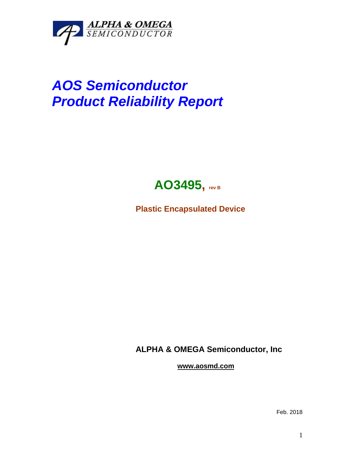

## *AOS Semiconductor Product Reliability Report*



**Plastic Encapsulated Device**

**ALPHA & OMEGA Semiconductor, Inc**

**www.aosmd.com**

Feb. 2018